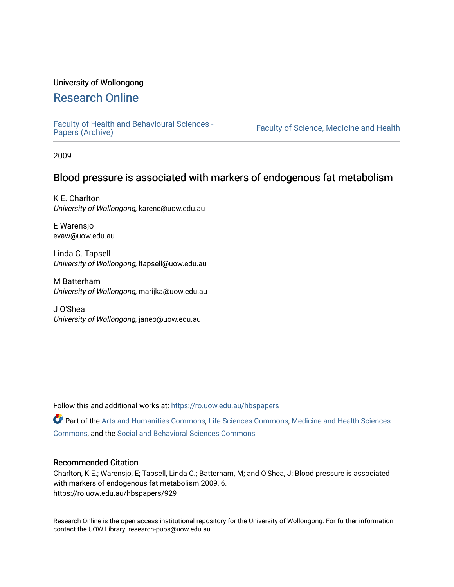#### University of Wollongong

# [Research Online](https://ro.uow.edu.au/)

[Faculty of Health and Behavioural Sciences -](https://ro.uow.edu.au/hbspapers)<br>Papers (Archive)

Faculty of Science, Medicine and Health

2009

## Blood pressure is associated with markers of endogenous fat metabolism

K E. Charlton University of Wollongong, karenc@uow.edu.au

E Warensjo evaw@uow.edu.au

Linda C. Tapsell University of Wollongong, ltapsell@uow.edu.au

M Batterham University of Wollongong, marijka@uow.edu.au

J O'Shea University of Wollongong, janeo@uow.edu.au

Follow this and additional works at: [https://ro.uow.edu.au/hbspapers](https://ro.uow.edu.au/hbspapers?utm_source=ro.uow.edu.au%2Fhbspapers%2F929&utm_medium=PDF&utm_campaign=PDFCoverPages) 

Part of the [Arts and Humanities Commons,](http://network.bepress.com/hgg/discipline/438?utm_source=ro.uow.edu.au%2Fhbspapers%2F929&utm_medium=PDF&utm_campaign=PDFCoverPages) [Life Sciences Commons,](http://network.bepress.com/hgg/discipline/1016?utm_source=ro.uow.edu.au%2Fhbspapers%2F929&utm_medium=PDF&utm_campaign=PDFCoverPages) [Medicine and Health Sciences](http://network.bepress.com/hgg/discipline/648?utm_source=ro.uow.edu.au%2Fhbspapers%2F929&utm_medium=PDF&utm_campaign=PDFCoverPages) [Commons](http://network.bepress.com/hgg/discipline/648?utm_source=ro.uow.edu.au%2Fhbspapers%2F929&utm_medium=PDF&utm_campaign=PDFCoverPages), and the [Social and Behavioral Sciences Commons](http://network.bepress.com/hgg/discipline/316?utm_source=ro.uow.edu.au%2Fhbspapers%2F929&utm_medium=PDF&utm_campaign=PDFCoverPages)

#### Recommended Citation

Charlton, K E.; Warensjo, E; Tapsell, Linda C.; Batterham, M; and O'Shea, J: Blood pressure is associated with markers of endogenous fat metabolism 2009, 6. https://ro.uow.edu.au/hbspapers/929

Research Online is the open access institutional repository for the University of Wollongong. For further information contact the UOW Library: research-pubs@uow.edu.au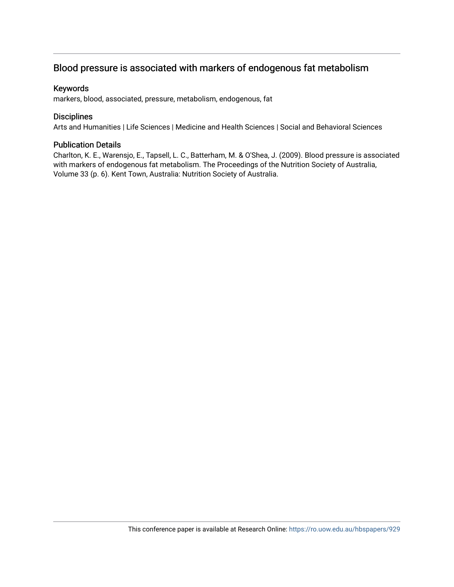# Blood pressure is associated with markers of endogenous fat metabolism

#### Keywords

markers, blood, associated, pressure, metabolism, endogenous, fat

#### **Disciplines**

Arts and Humanities | Life Sciences | Medicine and Health Sciences | Social and Behavioral Sciences

#### Publication Details

Charlton, K. E., Warensjo, E., Tapsell, L. C., Batterham, M. & O'Shea, J. (2009). Blood pressure is associated with markers of endogenous fat metabolism. The Proceedings of the Nutrition Society of Australia, Volume 33 (p. 6). Kent Town, Australia: Nutrition Society of Australia.